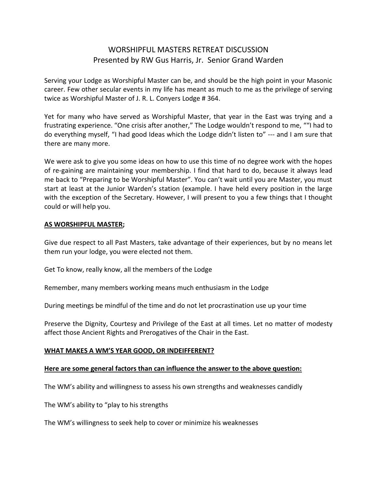## WORSHIPFUL MASTERS RETREAT DISCUSSION Presented by RW Gus Harris, Jr. Senior Grand Warden

Serving your Lodge as Worshipful Master can be, and should be the high point in your Masonic career. Few other secular events in my life has meant as much to me as the privilege of serving twice as Worshipful Master of J. R. L. Conyers Lodge # 364.

Yet for many who have served as Worshipful Master, that year in the East was trying and a frustrating experience. "One crisis after another," The Lodge wouldn't respond to me, ""I had to do everything myself, "I had good Ideas which the Lodge didn't listen to" --- and I am sure that there are many more.

We were ask to give you some ideas on how to use this time of no degree work with the hopes of re-gaining are maintaining your membership. I find that hard to do, because it always lead me back to "Preparing to be Worshipful Master". You can't wait until you are Master, you must start at least at the Junior Warden's station (example. I have held every position in the large with the exception of the Secretary. However, I will present to you a few things that I thought could or will help you.

### **AS WORSHIPFUL MASTER;**

Give due respect to all Past Masters, take advantage of their experiences, but by no means let them run your lodge, you were elected not them.

Get To know, really know, all the members of the Lodge

Remember, many members working means much enthusiasm in the Lodge

During meetings be mindful of the time and do not let procrastination use up your time

Preserve the Dignity, Courtesy and Privilege of the East at all times. Let no matter of modesty affect those Ancient Rights and Prerogatives of the Chair in the East.

### **WHAT MAKES A WM'S YEAR GOOD, OR INDEIFFERENT?**

### **Here are some general factors than can influence the answer to the above question:**

The WM's ability and willingness to assess his own strengths and weaknesses candidly

The WM's ability to "play to his strengths

The WM's willingness to seek help to cover or minimize his weaknesses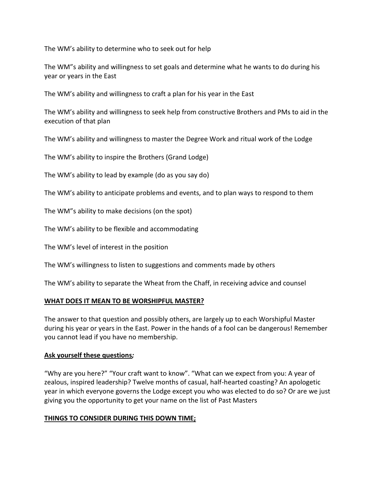The WM's ability to determine who to seek out for help

The WM"s ability and willingness to set goals and determine what he wants to do during his year or years in the East

The WM's ability and willingness to craft a plan for his year in the East

The WM's ability and willingness to seek help from constructive Brothers and PMs to aid in the execution of that plan

The WM's ability and willingness to master the Degree Work and ritual work of the Lodge

The WM's ability to inspire the Brothers (Grand Lodge)

The WM's ability to lead by example (do as you say do)

The WM's ability to anticipate problems and events, and to plan ways to respond to them

The WM"s ability to make decisions (on the spot)

The WM's ability to be flexible and accommodating

The WM's level of interest in the position

The WM's willingness to listen to suggestions and comments made by others

The WM's ability to separate the Wheat from the Chaff, in receiving advice and counsel

### **WHAT DOES IT MEAN TO BE WORSHIPFUL MASTER?**

The answer to that question and possibly others, are largely up to each Worshipful Master during his year or years in the East. Power in the hands of a fool can be dangerous! Remember you cannot lead if you have no membership.

### **Ask yourself these questions***;*

"Why are you here?" "Your craft want to know". "What can we expect from you: A year of zealous, inspired leadership? Twelve months of casual, half-hearted coasting? An apologetic year in which everyone governs the Lodge except you who was elected to do so? Or are we just giving you the opportunity to get your name on the list of Past Masters

### **THINGS TO CONSIDER DURING THIS DOWN TIME;**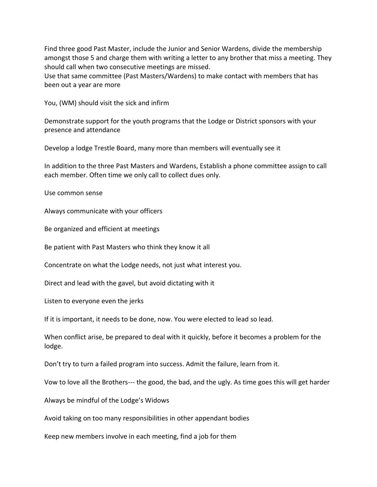Find three good Past Master, include the Junior and Senior Wardens, divide the membership amongst those 5 and charge them with writing a letter to any brother that miss a meeting. They should call when two consecutive meetings are missed.

Use that same committee (Past Masters/Wardens) to make contact with members that has been out a year are more

You, (WM) should visit the sick and infirm

Demonstrate support for the youth programs that the Lodge or District sponsors with your presence and attendance

Develop a lodge Trestle Board, many more than members will eventually see it

In addition to the three Past Masters and Wardens, Establish a phone committee assign to call each member. Often time we only call to collect dues only.

Use common sense

Always communicate with your officers

Be organized and efficient at meetings

Be patient with Past Masters who think they know it all

Concentrate on what the Lodge needs, not just what interest you.

Direct and lead with the gavel, but avoid dictating with it

Listen to everyone even the jerks

If it is important, it needs to be done, now. You were elected to lead so lead.

When conflict arise, be prepared to deal with it quickly, before it becomes a problem for the lodge.

Don't try to turn a failed program into success. Admit the failure, learn from it.

Vow to love all the Brothers--- the good, the bad, and the ugly. As time goes this will get harder

Always be mindful of the Lodge's Widows

Avoid taking on too many responsibilities in other appendant bodies

Keep new members involve in each meeting, find a job for them